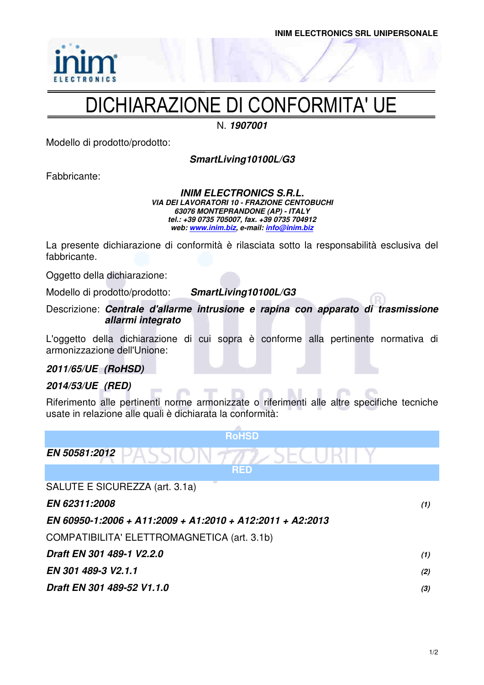

## DICHIARAZIONE DI CONFORMITA' UE

N. **1907001** 

Modello di prodotto/prodotto:

**SmartLiving10100L/G3** 

Fabbricante:

**INIM ELECTRONICS S.R.L. VIA DEI LAVORATORI 10 - FRAZIONE CENTOBUCHI 63076 MONTEPRANDONE (AP) - ITALY tel.: +39 0735 705007, fax. +39 0735 704912 web: www.inim.biz, e-mail: info@inim.biz**

La presente dichiarazione di conformità è rilasciata sotto la responsabilità esclusiva del fabbricante.

Oggetto della dichiarazione:

Modello di prodotto/prodotto: **SmartLiving10100L/G3** 

Descrizione: **Centrale d'allarme intrusione e rapina con apparato di trasmissione allarmi integrato** 

L'oggetto della dichiarazione di cui sopra è conforme alla pertinente normativa di armonizzazione dell'Unione:

### **2011/65/UE (RoHSD)**

### **2014/53/UE (RED)**

Riferimento alle pertinenti norme armonizzate o riferimenti alle altre specifiche tecniche usate in relazione alle quali è dichiarata la conformità:

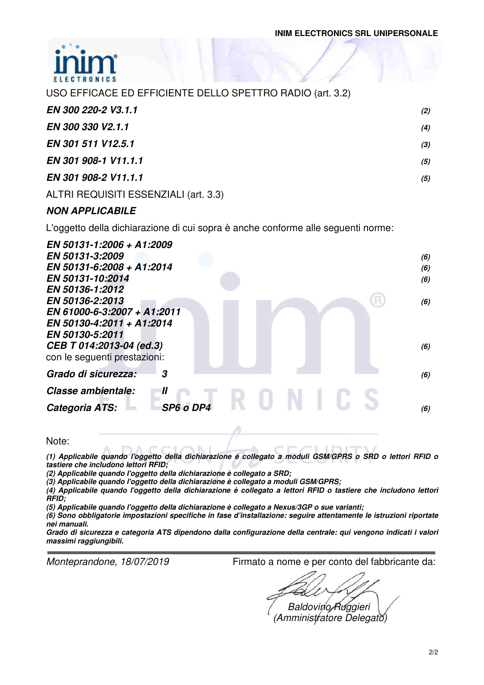

| USO EFFICACE ED EFFICIENTE DELLO SPETTRO RADIO (art. 3.2) |     |
|-----------------------------------------------------------|-----|
| EN 300 220-2 V3.1.1                                       | (2) |
| EN 300 330 V2.1.1                                         | (4) |
| EN 301 511 V12.5.1                                        | (3) |
| EN 301 908-1 V11.1.1                                      | (5) |
| EN 301 908-2 V11.1.1                                      | (5) |
|                                                           |     |

### ALTRI REQUISITI ESSENZIALI (art. 3.3)

### **NON APPLICABILE**

L'oggetto della dichiarazione di cui sopra è anche conforme alle seguenti norme:

| EN 50131-1:2006 + A1:2009<br>EN 50131-3:2009     | (6) |
|--------------------------------------------------|-----|
| EN 50131-6:2008 + A1:2014                        | (6) |
| EN 50131-10:2014                                 | (6) |
| EN 50136-1:2012                                  |     |
| EN 50136-2:2013                                  | (6) |
| EN 61000-6-3:2007 + A1:2011                      |     |
| EN 50130-4:2011 + A1:2014                        |     |
| EN 50130-5:2011                                  |     |
| CEB T 014:2013-04 (ed.3)                         | (6) |
| con le seguenti prestazioni:                     |     |
| Grado di sicurezza:<br>3                         |     |
|                                                  | (6) |
| Classe ambientale:<br>$\boldsymbol{\mathit{II}}$ |     |
| SP6 o DP4<br>Categoria ATS:                      | (6) |
|                                                  |     |
|                                                  |     |

Note:

**(1) Applicabile quando l'oggetto della dichiarazione è collegato a moduli GSM/GPRS o SRD o lettori RFID o tastiere che includono lettori RFID;** 

**(2) Applicabile quando l'oggetto della dichiarazione è collegato a SRD;** 

**(3) Applicabile quando l'oggetto della dichiarazione è collegato a moduli GSM/GPRS;** 

**(4) Applicabile quando l'oggetto della dichiarazione è collegato a lettori RFID o tastiere che includono lettori RFID;** 

**(5) Applicabile quando l'oggetto della dichiarazione è collegato a Nexus/3GP o sue varianti;** 

**(6) Sono obbligatorie impostazioni specifiche in fase d'installazione: seguire attentamente le istruzioni riportate nei manuali.** 

**Grado di sicurezza e categoria ATS dipendono dalla configurazione della centrale: qui vengono indicati i valori massimi raggiungibili.** 

Monteprandone, 18/07/2019 Firmato a nome e per conto del fabbricante da:

Baldovino Ruggieri

(Amministratore Delegato)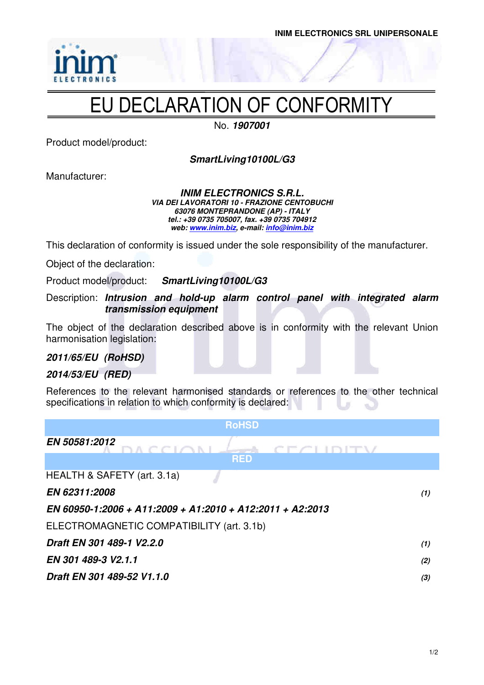

# EU DECLARATION OF CONFORMITY

No. **1907001**

Product model/product:

**SmartLiving10100L/G3** 

Manufacturer:

#### **INIM ELECTRONICS S.R.L. VIA DEI LAVORATORI 10 - FRAZIONE CENTOBUCHI 63076 MONTEPRANDONE (AP) - ITALY tel.: +39 0735 705007, fax. +39 0735 704912 web: www.inim.biz, e-mail: info@inim.biz**

This declaration of conformity is issued under the sole responsibility of the manufacturer.

Object of the declaration:

Product model/product: **SmartLiving10100L/G3**

Description: **Intrusion and hold-up alarm control panel with integrated alarm transmission equipment** 

The object of the declaration described above is in conformity with the relevant Union harmonisation legislation:

### **2011/65/EU (RoHSD)**

### **2014/53/EU (RED)**

References to the relevant harmonised standards or references to the other technical specifications in relation to which conformity is declared:

| <b>RoHSD</b>                                              |     |
|-----------------------------------------------------------|-----|
| EN 50581:2012<br>CECIDITY<br><b>DACCIONL</b><br>an an A   |     |
| <b>RED</b>                                                |     |
| HEALTH & SAFETY (art. 3.1a)                               |     |
| EN 62311:2008                                             | (1) |
| EN 60950-1:2006 + A11:2009 + A1:2010 + A12:2011 + A2:2013 |     |
| ELECTROMAGNETIC COMPATIBILITY (art. 3.1b)                 |     |
| Draft EN 301 489-1 V2.2.0                                 | (1) |
| EN 301 489-3 V2.1.1                                       | (2) |
| Draft EN 301 489-52 V1.1.0                                | (3) |
|                                                           |     |